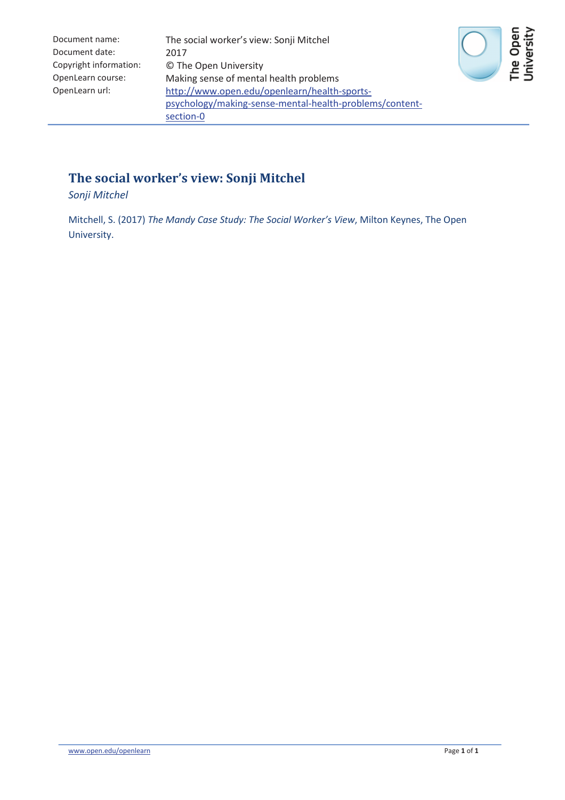| Document name:         | The social worker's view: Sonji Mitchel                 |
|------------------------|---------------------------------------------------------|
| Document date:         | 2017                                                    |
| Copyright information: | © The Open University                                   |
| OpenLearn course:      | Making sense of mental health problems                  |
| OpenLearn url:         | http://www.open.edu/openlearn/health-sports-            |
|                        | psychology/making-sense-mental-health-problems/content- |
|                        | section-0                                               |



## **The social worker's view: Sonji Mitchel**

*Sonji Mitchel*

Mitchell, S. (2017) *The Mandy Case Study: The Social Worker's View*, Milton Keynes, The Open University.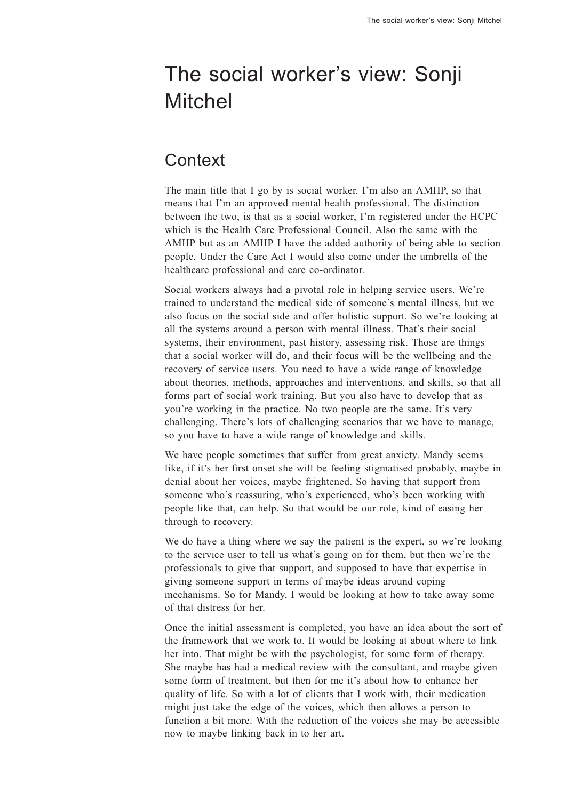# The social worker's view: Sonji Mitchel

# **Context**

The main title that I go by is social worker. I'm also an AMHP, so that means that I'm an approved mental health professional. The distinction between the two, is that as a social worker, I'm registered under the HCPC which is the Health Care Professional Council. Also the same with the AMHP but as an AMHP I have the added authority of being able to section people. Under the Care Act I would also come under the umbrella of the healthcare professional and care co-ordinator.

Social workers always had a pivotal role in helping service users. We're trained to understand the medical side of someone's mental illness, but we also focus on the social side and offer holistic support. So we're looking at all the systems around a person with mental illness. That's their social systems, their environment, past history, assessing risk. Those are things that a social worker will do, and their focus will be the wellbeing and the recovery of service users. You need to have a wide range of knowledge about theories, methods, approaches and interventions, and skills, so that all forms part of social work training. But you also have to develop that as you're working in the practice. No two people are the same. It's very challenging. There's lots of challenging scenarios that we have to manage, so you have to have a wide range of knowledge and skills.

We have people sometimes that suffer from great anxiety. Mandy seems like, if it's her first onset she will be feeling stigmatised probably, maybe in denial about her voices, maybe frightened. So having that support from someone who's reassuring, who's experienced, who's been working with people like that, can help. So that would be our role, kind of easing her through to recovery.

We do have a thing where we say the patient is the expert, so we're looking to the service user to tell us what's going on for them, but then we're the professionals to give that support, and supposed to have that expertise in giving someone support in terms of maybe ideas around coping mechanisms. So for Mandy, I would be looking at how to take away some of that distress for her.

Once the initial assessment is completed, you have an idea about the sort of the framework that we work to. It would be looking at about where to link her into. That might be with the psychologist, for some form of therapy. She maybe has had a medical review with the consultant, and maybe given some form of treatment, but then for me it's about how to enhance her quality of life. So with a lot of clients that I work with, their medication might just take the edge of the voices, which then allows a person to function a bit more. With the reduction of the voices she may be accessible now to maybe linking back in to her art.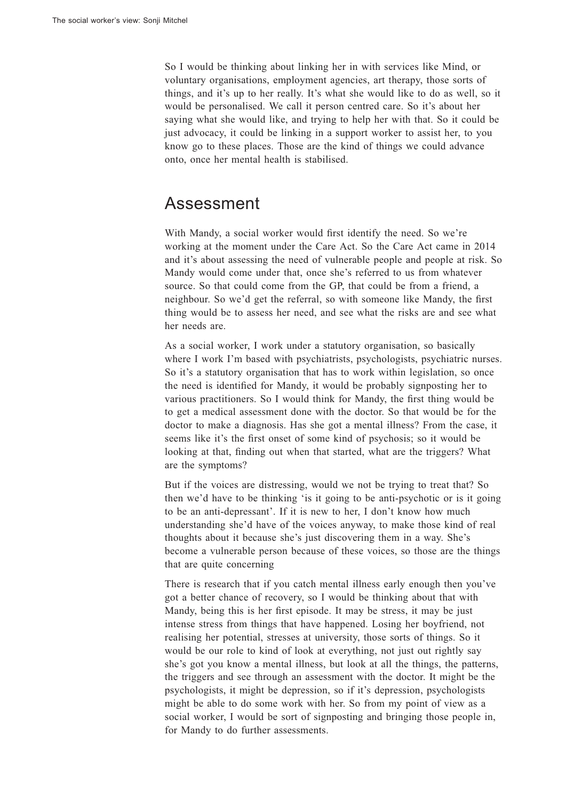So I would be thinking about linking her in with services like Mind, or voluntary organisations, employment agencies, art therapy, those sorts of things, and it's up to her really. It's what she would like to do as well, so it would be personalised. We call it person centred care. So it's about her saying what she would like, and trying to help her with that. So it could be just advocacy, it could be linking in a support worker to assist her, to you know go to these places. Those are the kind of things we could advance onto, once her mental health is stabilised.

#### Assessment

With Mandy, a social worker would first identify the need. So we're working at the moment under the Care Act. So the Care Act came in 2014 and it's about assessing the need of vulnerable people and people at risk. So Mandy would come under that, once she's referred to us from whatever source. So that could come from the GP, that could be from a friend, a neighbour. So we'd get the referral, so with someone like Mandy, the first thing would be to assess her need, and see what the risks are and see what her needs are.

As a social worker, I work under a statutory organisation, so basically where I work I'm based with psychiatrists, psychologists, psychiatric nurses. So it's a statutory organisation that has to work within legislation, so once the need is identified for Mandy, it would be probably signposting her to various practitioners. So I would think for Mandy, the first thing would be to getamedical assessment done with the doctor. So that would be for the doctor to make a diagnosis. Has she got a mental illness? From the case, it seems like it's the first onset of some kind of psychosis; so it would be looking at that, finding out when that started, what are the triggers? What are the symptoms?

But if the voices are distressing, would we not be trying to treat that? So then we'd have to be thinking 'is it going to be anti-psychotic or is it going to be an anti-depressant'. If it is new to her, I don't know how much understanding she'd have of the voices anyway, to make those kind of real thoughts about it because she's just discovering them in a way. She'<sup>s</sup> become a vulnerable person because of these voices, so those are the things that are quite concerning

There is research that if you catch mental illness early enough then you've got a better chance of recovery, so I would be thinking about that with Mandy, being this is her first episode. It may be stress, it may be just intense stress from things that have happened. Losing her boyfriend, not realising her potential, stresses at university, those sorts of things. So it would be our role to kind of look at everything, not just out rightly say she's got you know a mental illness, but look at all the things, the patterns, the triggers and see through an assessment with the doctor. It might be the psychologists, it might be depression, so if it's depression, psychologists might be able to do some work with her. So from my point of view as a social worker, I would be sort of signposting and bringing those people in, for Mandy to do further assessments.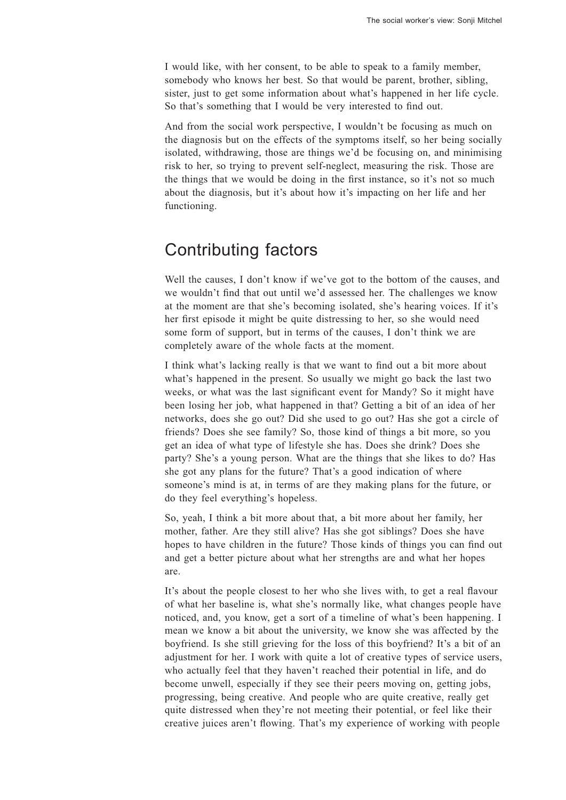I would like, with her consent, to be able to speak to a family member, somebody who knows her best. So that would be parent, brother, sibling, sister, just to get some information about what's happened in her life cycle. So that's something that I would be very interested to find out.

And from the social work perspective, I wouldn't be focusing as much on the diagnosis but on the effects of the symptoms itself, so her being socially isolated, withdrawing, those are things we'd be focusing on, and minimising risk to her, so trying to prevent self-neglect, measuring the risk. Those are the things that we would be doing in the first instance, so it's not so much about the diagnosis, but it's about how it's impacting on her life and her functioning.

### Contributing factors

Well the causes, I don't know if we've got to the bottom of the causes, and we wouldn'<sup>t</sup> find that out until we'd assessed her. The challenges we know at the moment are that she's becoming isolated, she's hearing voices. If it'<sup>s</sup> her first episode it might be quite distressing to her, so she would need some form of support, but in terms of the causes, I don't think we are completely aware of the whole facts at the moment.

I think what's lacking really is that we want to find out a bit more about what's happened in the present. So usually we might go back the last two weeks, or what was the last significant event for Mandy? So it might have been losing her job, what happened in that? Getting a bit of an idea of her networks, does she go out? Did she used to go out? Has she got a circle of friends? Does she see family? So, those kind of things a bit more, so you get an idea of what type of lifestyle she has. Does she drink? Does she party? She's a young person. What are the things that she likes to do? Has she got any plans for the future? That's a good indication of where someone's mind is at, in terms of are they making plans for the future, or do they feel everything's hopeless.

So, yeah, I think a bit more about that, a bit more about her family, her mother, father. Are they still alive? Has she got siblings? Does she have hopes to have children in the future? Those kinds of things you can find out and get a better picture about what her strengths are and what her hopes are.

It's about the people closest to her who she lives with, to get a real flavour of what her baseline is, what she's normally like, what changes people have noticed, and, you know, get a sort of a timeline of what's been happening. I mean we know a bit about the university, we know she was affected by the boyfriend. Is she still grieving for the loss of this boyfriend? It's a bit of an adjustment for her. I work with quite a lot of creative types of service users, who actually feel that they haven't reached their potential in life, and do become unwell, especially if they see their peers moving on, getting jobs, progressing, being creative. And people who are quite creative, really get quite distressed when they're not meeting their potential, or feel like their creative juices aren'<sup>t</sup> flowing. That's my experience of working with people